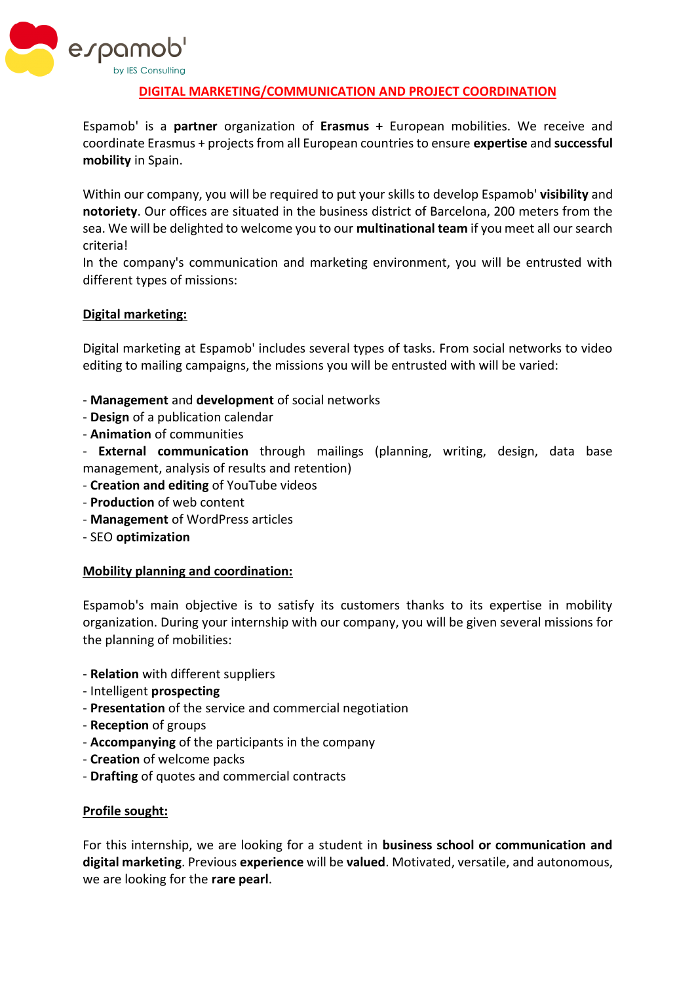

## **DIGITAL MARKETING/COMMUNICATION AND PROJECT COORDINATION**

Espamob' is a **partner** organization of **Erasmus +** European mobilities. We receive and coordinate Erasmus + projects from all European countries to ensure **expertise** and **successful mobility** in Spain.

Within our company, you will be required to put your skills to develop Espamob' **visibility** and **notoriety**. Our offices are situated in the business district of Barcelona, 200 meters from the sea. We will be delighted to welcome you to our **multinational team** if you meet all our search criteria!

In the company's communication and marketing environment, you will be entrusted with different types of missions:

### **Digital marketing:**

Digital marketing at Espamob' includes several types of tasks. From social networks to video editing to mailing campaigns, the missions you will be entrusted with will be varied:

- **Management** and **development** of social networks
- **Design** of a publication calendar
- **Animation** of communities

- **External communication** through mailings (planning, writing, design, data base management, analysis of results and retention)

- **Creation and editing** of YouTube videos
- **Production** of web content
- **Management** of WordPress articles
- SEO **optimization**

#### **Mobility planning and coordination:**

Espamob's main objective is to satisfy its customers thanks to its expertise in mobility organization. During your internship with our company, you will be given several missions for the planning of mobilities:

- **Relation** with different suppliers
- Intelligent **prospecting**
- **Presentation** of the service and commercial negotiation
- **Reception** of groups
- **Accompanying** of the participants in the company
- **Creation** of welcome packs
- **Drafting** of quotes and commercial contracts

#### **Profile sought:**

For this internship, we are looking for a student in **business school or communication and digital marketing**. Previous **experience** will be **valued**. Motivated, versatile, and autonomous, we are looking for the **rare pearl**.